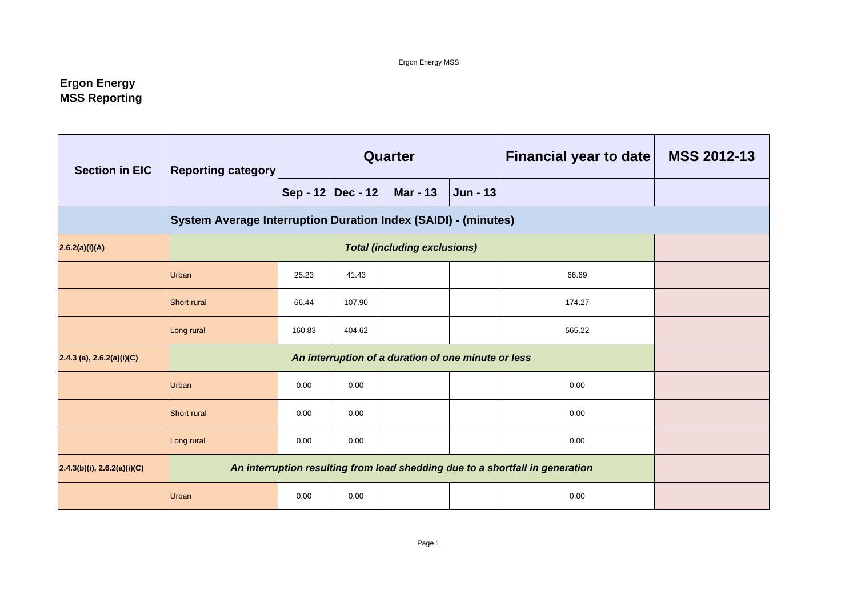# **Ergon Energy MSS Reporting**

| <b>Section in EIC</b>          | <b>Reporting category</b>                                      |                                                                               |                   | <b>Quarter</b>                                      |                 | <b>Financial year to date</b> | <b>MSS 2012-13</b> |
|--------------------------------|----------------------------------------------------------------|-------------------------------------------------------------------------------|-------------------|-----------------------------------------------------|-----------------|-------------------------------|--------------------|
|                                |                                                                |                                                                               | Sep - 12 Dec - 12 | <b>Mar - 13</b>                                     | <b>Jun - 13</b> |                               |                    |
|                                | System Average Interruption Duration Index (SAIDI) - (minutes) |                                                                               |                   |                                                     |                 |                               |                    |
| 2.6.2(a)(i)(A)                 |                                                                |                                                                               |                   |                                                     |                 |                               |                    |
|                                | Urban                                                          | 25.23                                                                         | 66.69<br>41.43    |                                                     |                 |                               |                    |
|                                | <b>Short rural</b>                                             | 66.44                                                                         | 107.90            |                                                     |                 | 174.27                        |                    |
|                                | Long rural                                                     | 160.83                                                                        | 404.62            |                                                     |                 | 565.22                        |                    |
| $2.4.3$ (a), $2.6.2(a)(i)(C)$  |                                                                |                                                                               |                   | An interruption of a duration of one minute or less |                 |                               |                    |
|                                | Urban                                                          | 0.00                                                                          | 0.00              |                                                     |                 | 0.00                          |                    |
|                                | <b>Short rural</b>                                             | 0.00                                                                          | 0.00              |                                                     |                 | 0.00                          |                    |
|                                | Long rural                                                     | 0.00                                                                          | 0.00              |                                                     |                 | 0.00                          |                    |
| $2.4.3(b)(i)$ , 2.6.2(a)(i)(C) |                                                                | An interruption resulting from load shedding due to a shortfall in generation |                   |                                                     |                 |                               |                    |
|                                | Urban                                                          | 0.00                                                                          | 0.00              |                                                     |                 | 0.00                          |                    |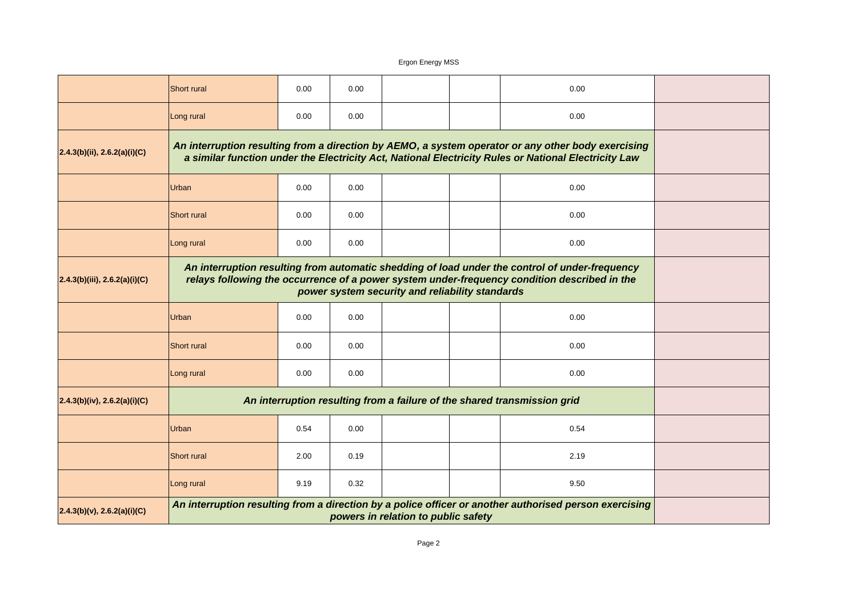| $2.4.3(b)(v)$ , 2.6.2(a)(i)(C)  |                                                                                                                                                                                                |                                                                                                                                                                                                            |      | powers in relation to public safety |  | An interruption resulting from a direction by a police officer or another authorised person exercising |  |  |  |
|---------------------------------|------------------------------------------------------------------------------------------------------------------------------------------------------------------------------------------------|------------------------------------------------------------------------------------------------------------------------------------------------------------------------------------------------------------|------|-------------------------------------|--|--------------------------------------------------------------------------------------------------------|--|--|--|
|                                 | Long rural                                                                                                                                                                                     | 9.19                                                                                                                                                                                                       | 0.32 |                                     |  | 9.50                                                                                                   |  |  |  |
|                                 | Short rural                                                                                                                                                                                    | 2.00                                                                                                                                                                                                       | 0.19 |                                     |  | 2.19                                                                                                   |  |  |  |
|                                 | <b>Urban</b>                                                                                                                                                                                   | 0.54                                                                                                                                                                                                       | 0.00 |                                     |  | 0.54                                                                                                   |  |  |  |
| 2.4.3(b)(iv), 2.6.2(a)(i)(C)    |                                                                                                                                                                                                |                                                                                                                                                                                                            |      |                                     |  | An interruption resulting from a failure of the shared transmission grid                               |  |  |  |
|                                 | Long rural                                                                                                                                                                                     | 0.00                                                                                                                                                                                                       | 0.00 |                                     |  | 0.00                                                                                                   |  |  |  |
|                                 | Short rural                                                                                                                                                                                    | 0.00                                                                                                                                                                                                       | 0.00 |                                     |  | 0.00                                                                                                   |  |  |  |
|                                 | <b>Urban</b>                                                                                                                                                                                   | 0.00<br>0.00<br>0.00                                                                                                                                                                                       |      |                                     |  |                                                                                                        |  |  |  |
| (2.4.3(b)(iii), 2.6.2(a)(i)(C)) | An interruption resulting from automatic shedding of load under the control of under-frequency<br>relays following the occurrence of a power system under-frequency condition described in the |                                                                                                                                                                                                            |      |                                     |  |                                                                                                        |  |  |  |
|                                 | Long rural                                                                                                                                                                                     | 0.00                                                                                                                                                                                                       | 0.00 |                                     |  | 0.00                                                                                                   |  |  |  |
|                                 | <b>Short rural</b>                                                                                                                                                                             | 0.00                                                                                                                                                                                                       | 0.00 |                                     |  | 0.00                                                                                                   |  |  |  |
|                                 | <b>Urban</b>                                                                                                                                                                                   |                                                                                                                                                                                                            |      |                                     |  |                                                                                                        |  |  |  |
| (2.4.3(b)(ii), 2.6.2(a)(i)(C))  |                                                                                                                                                                                                | An interruption resulting from a direction by AEMO, a system operator or any other body exercising<br>a similar function under the Electricity Act, National Electricity Rules or National Electricity Law |      |                                     |  |                                                                                                        |  |  |  |
|                                 | Long rural                                                                                                                                                                                     | 0.00                                                                                                                                                                                                       | 0.00 |                                     |  | 0.00                                                                                                   |  |  |  |
|                                 | <b>Short rural</b>                                                                                                                                                                             | 0.00                                                                                                                                                                                                       | 0.00 |                                     |  | 0.00                                                                                                   |  |  |  |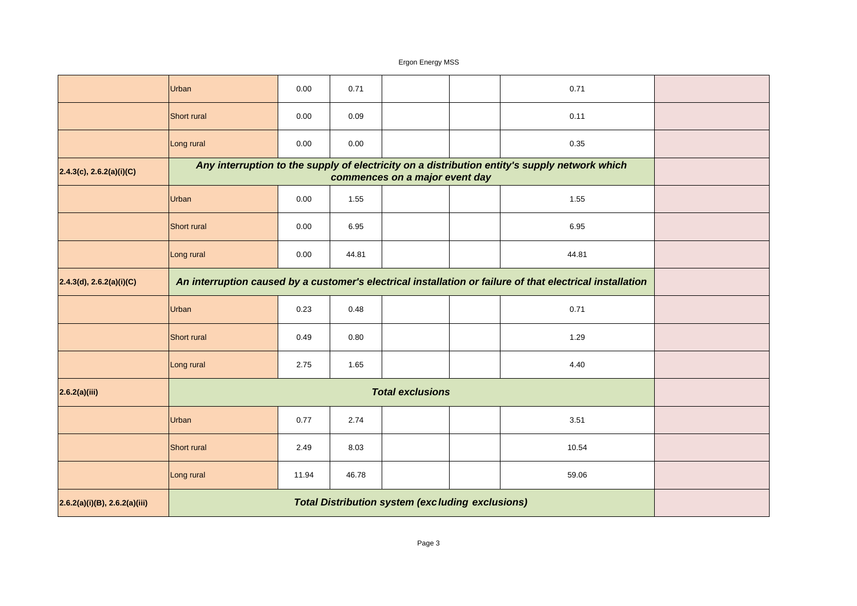|                               | Urban                                                                                         | 0.00  | 0.71  |                                                         | 0.71                                                                                                      |  |
|-------------------------------|-----------------------------------------------------------------------------------------------|-------|-------|---------------------------------------------------------|-----------------------------------------------------------------------------------------------------------|--|
|                               | <b>Short rural</b>                                                                            | 0.00  | 0.09  |                                                         | 0.11                                                                                                      |  |
|                               | Long rural                                                                                    | 0.00  | 0.00  |                                                         | 0.35                                                                                                      |  |
| 2.4.3(c), 2.6.2(a)(i)(C)      | Any interruption to the supply of electricity on a distribution entity's supply network which |       |       |                                                         |                                                                                                           |  |
|                               | Urban                                                                                         |       |       |                                                         |                                                                                                           |  |
|                               | Short rural                                                                                   | 0.00  | 6.95  |                                                         | 6.95                                                                                                      |  |
|                               | Long rural                                                                                    | 0.00  | 44.81 |                                                         | 44.81                                                                                                     |  |
| 2.4.3(d), 2.6.2(a)(i)(C)      |                                                                                               |       |       |                                                         | An interruption caused by a customer's electrical installation or failure of that electrical installation |  |
|                               | Urban                                                                                         | 0.23  | 0.48  |                                                         | 0.71                                                                                                      |  |
|                               | Short rural                                                                                   | 0.49  | 0.80  |                                                         | 1.29                                                                                                      |  |
|                               | Long rural                                                                                    | 2.75  | 1.65  |                                                         | 4.40                                                                                                      |  |
| 2.6.2(a)(iii)                 |                                                                                               |       |       | <b>Total exclusions</b>                                 |                                                                                                           |  |
|                               | Urban                                                                                         | 0.77  | 2.74  |                                                         | 3.51                                                                                                      |  |
|                               | Short rural                                                                                   | 2.49  | 8.03  |                                                         | 10.54                                                                                                     |  |
|                               | Long rural                                                                                    | 11.94 | 46.78 |                                                         | 59.06                                                                                                     |  |
| 2.6.2(a)(i)(B), 2.6.2(a)(iii) |                                                                                               |       |       | <b>Total Distribution system (excluding exclusions)</b> |                                                                                                           |  |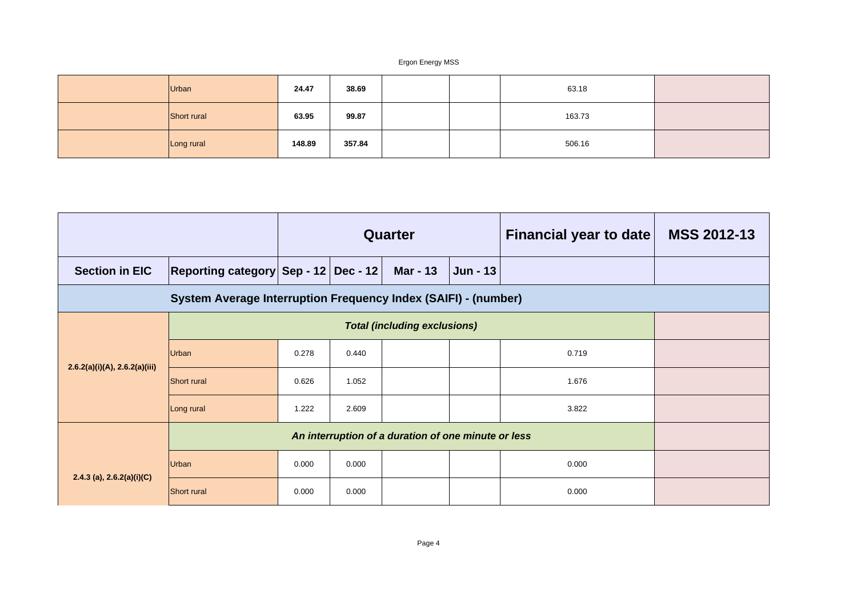| Urban       | 24.47  | 38.69  |  | 63.18  |  |
|-------------|--------|--------|--|--------|--|
| Short rural | 63.95  | 99.87  |  | 163.73 |  |
| Long rural  | 148.89 | 357.84 |  | 506.16 |  |

|                               |                                                     | Quarter                            |       |  |       | <b>Financial year to date</b> | <b>MSS 2012-13</b> |
|-------------------------------|-----------------------------------------------------|------------------------------------|-------|--|-------|-------------------------------|--------------------|
| <b>Section in EIC</b>         | Reporting category Sep - 12 Dec - 12                | <b>Mar - 13</b><br><b>Jun - 13</b> |       |  |       |                               |                    |
|                               |                                                     |                                    |       |  |       |                               |                    |
|                               |                                                     |                                    |       |  |       |                               |                    |
|                               | Urban                                               | 0.278                              | 0.440 |  | 0.719 |                               |                    |
| 2.6.2(a)(i)(A), 2.6.2(a)(iii) | <b>Short rural</b>                                  | 0.626                              | 1.052 |  |       | 1.676                         |                    |
|                               | Long rural                                          | 1.222                              | 2.609 |  |       | 3.822                         |                    |
|                               | An interruption of a duration of one minute or less |                                    |       |  |       |                               |                    |
| 2.4.3 (a), $2.6.2(a)(i)(C)$   | Urban                                               | 0.000                              | 0.000 |  |       | 0.000                         |                    |
|                               | <b>Short rural</b>                                  | 0.000                              | 0.000 |  |       | 0.000                         |                    |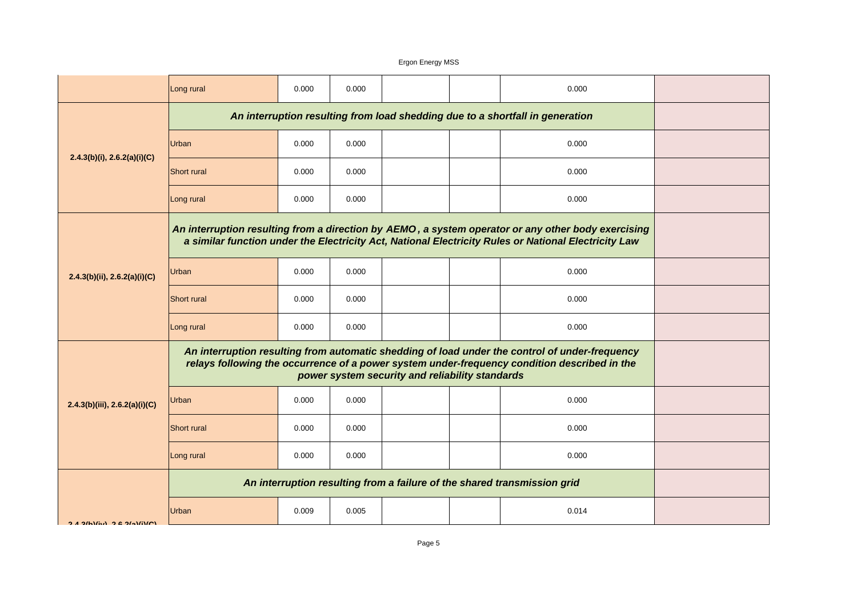|                                  | Long rural                                                                                                                                                                                     | 0.000                                           | 0.000 |  | 0.000                                                                                                                                                                                                      |  |
|----------------------------------|------------------------------------------------------------------------------------------------------------------------------------------------------------------------------------------------|-------------------------------------------------|-------|--|------------------------------------------------------------------------------------------------------------------------------------------------------------------------------------------------------------|--|
|                                  | An interruption resulting from load shedding due to a shortfall in generation                                                                                                                  |                                                 |       |  |                                                                                                                                                                                                            |  |
|                                  | Urban                                                                                                                                                                                          | 0.000                                           | 0.000 |  | 0.000                                                                                                                                                                                                      |  |
| $2.4.3(b)(i)$ , $2.6.2(a)(i)(C)$ | <b>Short rural</b>                                                                                                                                                                             | 0.000                                           | 0.000 |  | 0.000                                                                                                                                                                                                      |  |
|                                  | Long rural                                                                                                                                                                                     | 0.000                                           | 0.000 |  | 0.000                                                                                                                                                                                                      |  |
|                                  |                                                                                                                                                                                                |                                                 |       |  | An interruption resulting from a direction by AEMO, a system operator or any other body exercising<br>a similar function under the Electricity Act, National Electricity Rules or National Electricity Law |  |
| 2.4.3(b)(ii), 2.6.2(a)(i)(C)     | Urban                                                                                                                                                                                          | 0.000                                           | 0.000 |  | 0.000                                                                                                                                                                                                      |  |
|                                  | <b>Short rural</b>                                                                                                                                                                             | 0.000                                           | 0.000 |  | 0.000                                                                                                                                                                                                      |  |
|                                  | Long rural                                                                                                                                                                                     | 0.000                                           | 0.000 |  | 0.000                                                                                                                                                                                                      |  |
|                                  | An interruption resulting from automatic shedding of load under the control of under-frequency<br>relays following the occurrence of a power system under-frequency condition described in the | power system security and reliability standards |       |  |                                                                                                                                                                                                            |  |
| 2.4.3(b)(iii), 2.6.2(a)(i)(C)    | Urban                                                                                                                                                                                          | 0.000                                           | 0.000 |  | 0.000                                                                                                                                                                                                      |  |
|                                  | <b>Short rural</b>                                                                                                                                                                             | 0.000                                           | 0.000 |  | 0.000                                                                                                                                                                                                      |  |
|                                  | Long rural                                                                                                                                                                                     | 0.000                                           | 0.000 |  | 0.000                                                                                                                                                                                                      |  |
|                                  |                                                                                                                                                                                                |                                                 |       |  | An interruption resulting from a failure of the shared transmission grid                                                                                                                                   |  |
| $2A$ 3/h)(iv) $2B$ $2(A)/i$ (C)  | Urban                                                                                                                                                                                          | 0.009                                           | 0.005 |  | 0.014                                                                                                                                                                                                      |  |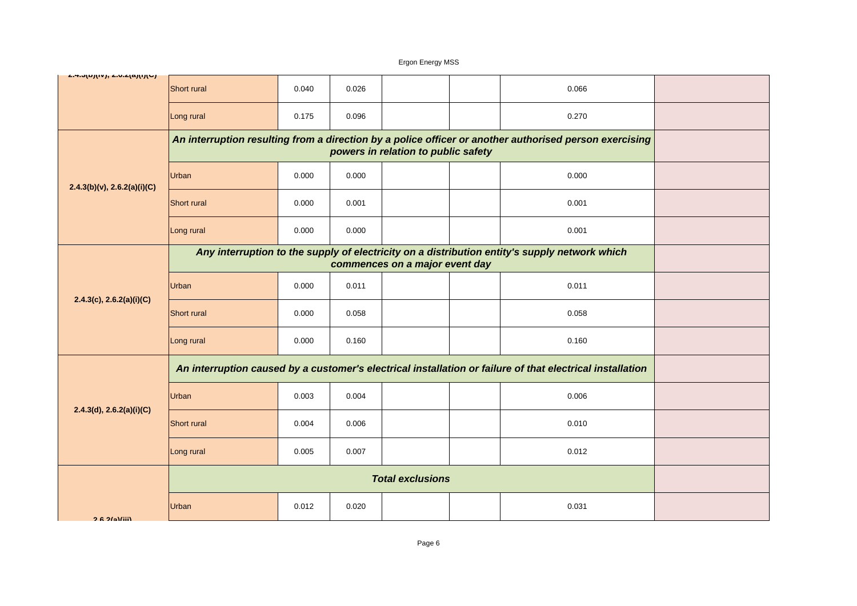| <u>2.4.0(0)(17), 2.0.2(a)(1)(0)</u> | <b>Short rural</b>      | 0.040                                                                                                     | 0.026 |  |  | 0.066 |  |
|-------------------------------------|-------------------------|-----------------------------------------------------------------------------------------------------------|-------|--|--|-------|--|
|                                     | Long rural              | 0.175                                                                                                     | 0.096 |  |  | 0.270 |  |
|                                     |                         | An interruption resulting from a direction by a police officer or another authorised person exercising    |       |  |  |       |  |
| $2.4.3(b)(v)$ , $2.6.2(a)(i)(C)$    | Urban                   | 0.000                                                                                                     | 0.000 |  |  | 0.000 |  |
|                                     | <b>Short rural</b>      | 0.000                                                                                                     | 0.001 |  |  | 0.001 |  |
|                                     | Long rural              | 0.000                                                                                                     | 0.000 |  |  | 0.001 |  |
|                                     |                         | Any interruption to the supply of electricity on a distribution entity's supply network which             |       |  |  |       |  |
| 2.4.3(c), 2.6.2(a)(i)(C)            | Urban                   | 0.000                                                                                                     | 0.011 |  |  | 0.011 |  |
|                                     | Short rural             | 0.000                                                                                                     | 0.058 |  |  | 0.058 |  |
|                                     | Long rural              | 0.000                                                                                                     | 0.160 |  |  | 0.160 |  |
|                                     |                         | An interruption caused by a customer's electrical installation or failure of that electrical installation |       |  |  |       |  |
| 2.4.3(d), 2.6.2(a)(i)(C)            | Urban                   | 0.003                                                                                                     | 0.004 |  |  | 0.006 |  |
|                                     | Short rural             | 0.004                                                                                                     | 0.006 |  |  | 0.010 |  |
|                                     | Long rural              | 0.005                                                                                                     | 0.007 |  |  | 0.012 |  |
|                                     | <b>Total exclusions</b> |                                                                                                           |       |  |  |       |  |
| $26.26$ Miii)                       | Urban                   | 0.012                                                                                                     | 0.020 |  |  | 0.031 |  |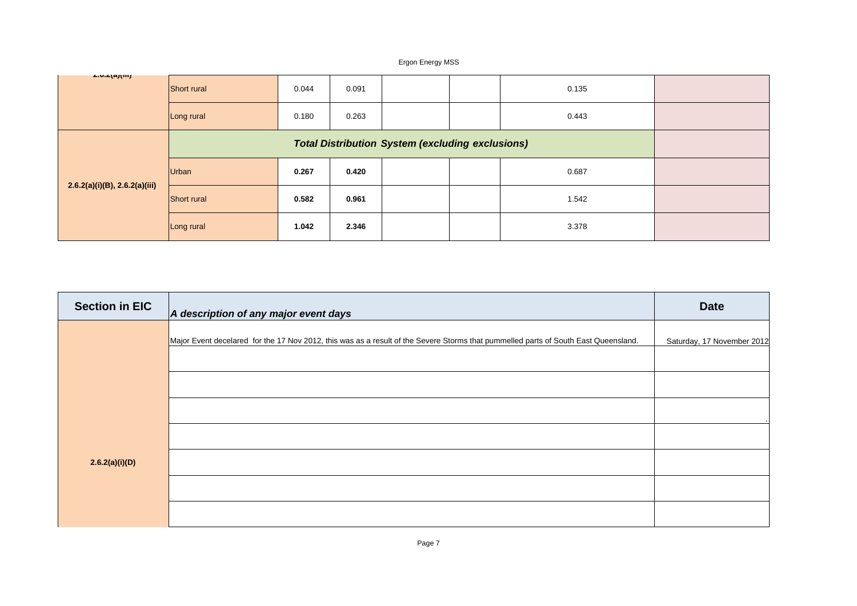| <b>2.0.2(a)(III)</b>             | Short rural  | 0.044 | 0.091 |  | 0.135 |  |
|----------------------------------|--------------|-------|-------|--|-------|--|
|                                  | Long rural   | 0.180 | 0.263 |  | 0.443 |  |
| $2.6.2(a)(i)(B)$ , 2.6.2(a)(iii) |              |       |       |  |       |  |
|                                  | <b>Urban</b> | 0.267 | 0.420 |  | 0.687 |  |
|                                  | Short rural  | 0.582 | 0.961 |  | 1.542 |  |
|                                  | Long rural   | 1.042 | 2.346 |  | 3.378 |  |

| <b>Section in EIC</b> | A description of any major event days                                                                                               | <b>Date</b>                |
|-----------------------|-------------------------------------------------------------------------------------------------------------------------------------|----------------------------|
|                       | Major Event decelared for the 17 Nov 2012, this was as a result of the Severe Storms that pummelled parts of South East Queensland. | Saturday, 17 November 2012 |
|                       |                                                                                                                                     |                            |
|                       |                                                                                                                                     |                            |
|                       |                                                                                                                                     |                            |
|                       |                                                                                                                                     |                            |
| 2.6.2(a)(i)(D)        |                                                                                                                                     |                            |
|                       |                                                                                                                                     |                            |
|                       |                                                                                                                                     |                            |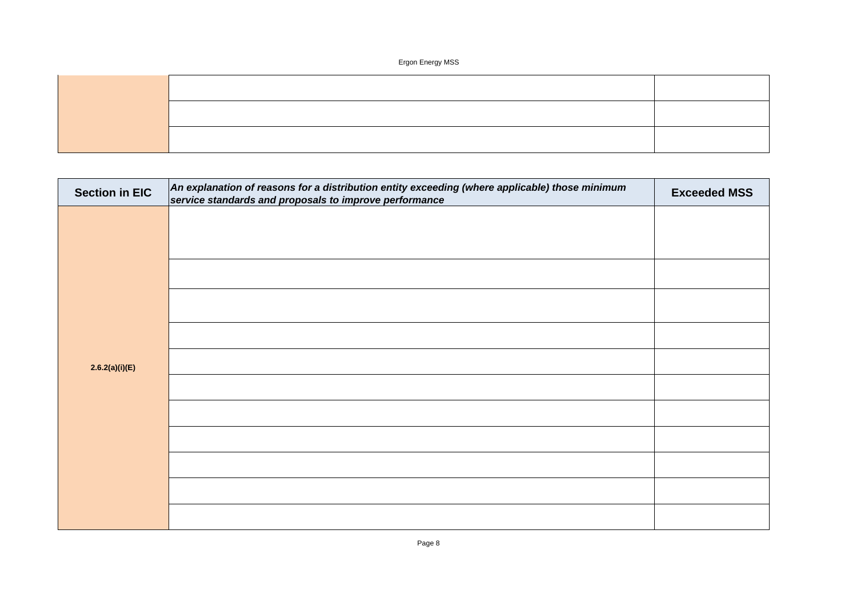| <b>Section in EIC</b> | An explanation of reasons for a distribution entity exceeding (where applicable) those minimum<br>service standards and proposals to improve performance | <b>Exceeded MSS</b> |
|-----------------------|----------------------------------------------------------------------------------------------------------------------------------------------------------|---------------------|
|                       |                                                                                                                                                          |                     |
|                       |                                                                                                                                                          |                     |
|                       |                                                                                                                                                          |                     |
|                       |                                                                                                                                                          |                     |
|                       |                                                                                                                                                          |                     |
|                       |                                                                                                                                                          |                     |
| 2.6.2(a)(i)(E)        |                                                                                                                                                          |                     |
|                       |                                                                                                                                                          |                     |
|                       |                                                                                                                                                          |                     |
|                       |                                                                                                                                                          |                     |
|                       |                                                                                                                                                          |                     |
|                       |                                                                                                                                                          |                     |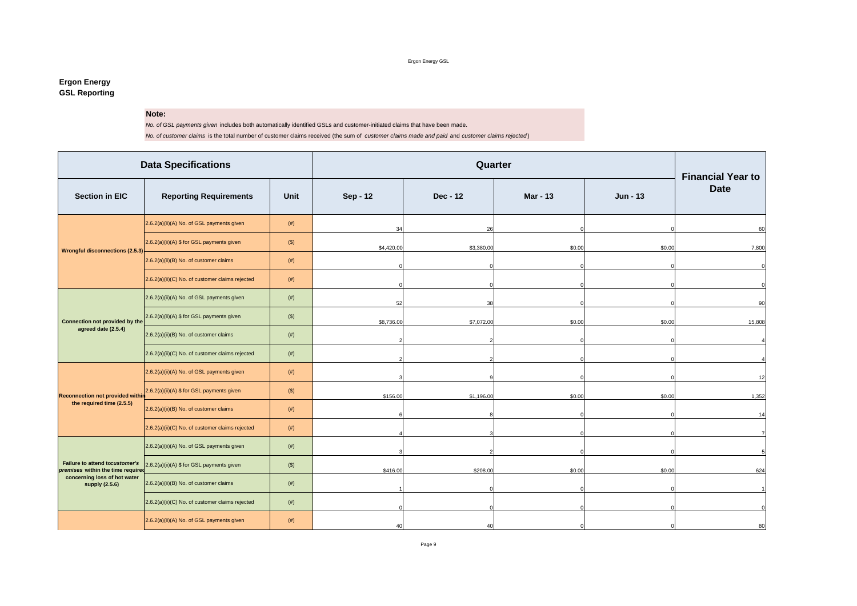Ergon Energy GSL

#### **Ergon Energy GSL Reporting**

#### **Note:**

*No. of GSL payments given* includes both automatically identified GSLs and customer-initiated claims that have been made.

*No. of customer claims* is the total number of customer claims received (the sum of *customer claims made and paid* and *customer claims rejected* )

|                                                                     | <b>Data Specifications</b>                      |         |            |            | Quarter         |          | <b>Financial Year to</b> |
|---------------------------------------------------------------------|-------------------------------------------------|---------|------------|------------|-----------------|----------|--------------------------|
| <b>Section in EIC</b>                                               | <b>Reporting Requirements</b>                   | Unit    | Sep - 12   | Dec - 12   | <b>Mar - 13</b> | Jun - 13 | <b>Date</b>              |
|                                                                     | 2.6.2(a)(ii)(A) No. of GSL payments given       | (# )    | 34         | 26         |                 |          | 60                       |
|                                                                     | 2.6.2(a)(ii)(A) \$ for GSL payments given       | $($ \$) | \$4,420.00 | \$3,380.00 | \$0.00          | \$0.00   | 7,800                    |
| <b>Wrongful disconnections (2.5.3)</b>                              | 2.6.2(a)(ii)(B) No. of customer claims          | (# )    |            |            |                 |          | $\mathbf 0$              |
|                                                                     | 2.6.2(a)(ii)(C) No. of customer claims rejected | (# )    |            |            |                 |          | $\Omega$                 |
|                                                                     | 2.6.2(a)(ii)(A) No. of GSL payments given       | $(\#)$  | 52         | 38         |                 |          | 90                       |
| Connection not provided by the                                      | 2.6.2(a)(ii)(A) \$ for GSL payments given       | $($ \$) | \$8,736.00 | \$7,072.00 | \$0.00          | \$0.00   | 15,808                   |
| agreed date (2.5.4)                                                 | 2.6.2(a)(ii)(B) No. of customer claims          | (# )    |            |            |                 |          |                          |
|                                                                     | 2.6.2(a)(ii)(C) No. of customer claims rejected | (# )    |            |            |                 |          |                          |
|                                                                     | 2.6.2(a)(ii)(A) No. of GSL payments given       | $(\#)$  |            |            |                 |          | 12                       |
| <b>Reconnection not provided withi</b>                              | 2.6.2(a)(ii)(A) \$ for GSL payments given       | $($ \$) | \$156.00   | \$1,196.00 | \$0.00          | \$0.00   | 1,352                    |
| the required time (2.5.5)                                           | 2.6.2(a)(ii)(B) No. of customer claims          | (# )    |            |            |                 |          | 14                       |
|                                                                     | 2.6.2(a)(ii)(C) No. of customer claims rejected | (# )    |            |            |                 |          | $\overline{7}$           |
|                                                                     | 2.6.2(a)(ii)(A) No. of GSL payments given       | (# )    |            |            |                 |          | 5                        |
| Failure to attend tocustomer's<br>premises within the time required | 2.6.2(a)(ii)(A) \$ for GSL payments given       | $($ \$) | \$416.00   | \$208.00   | \$0.00          | \$0.00   | 624                      |
| concerning loss of hot water<br>supply (2.5.6)                      | 2.6.2(a)(ii)(B) No. of customer claims          | (# )    |            |            |                 |          |                          |
|                                                                     | 2.6.2(a)(ii)(C) No. of customer claims rejected | (# )    |            |            |                 |          | $\Omega$                 |
|                                                                     | 2.6.2(a)(ii)(A) No. of GSL payments given       | (# )    | 40         | 40         |                 |          | 80                       |